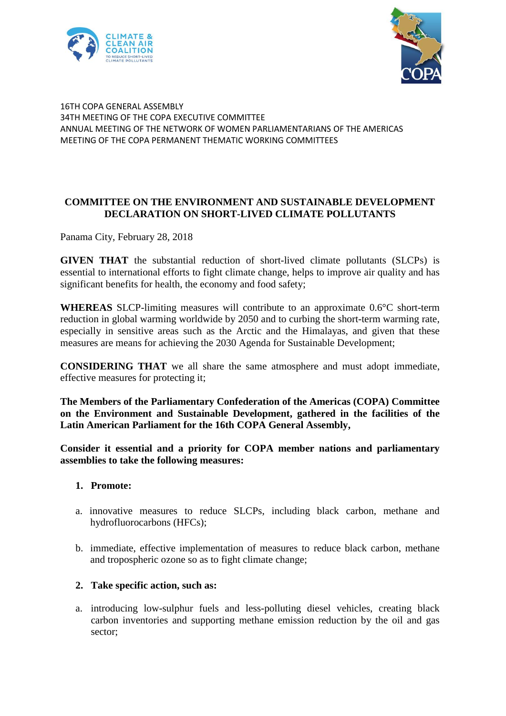



## 16TH COPA GENERAL ASSEMBLY 34TH MEETING OF THE COPA EXECUTIVE COMMITTEE ANNUAL MEETING OF THE NETWORK OF WOMEN PARLIAMENTARIANS OF THE AMERICAS MEETING OF THE COPA PERMANENT THEMATIC WORKING COMMITTEES

## **COMMITTEE ON THE ENVIRONMENT AND SUSTAINABLE DEVELOPMENT DECLARATION ON SHORT-LIVED CLIMATE POLLUTANTS**

Panama City, February 28, 2018

**GIVEN THAT** the substantial reduction of short-lived climate pollutants (SLCPs) is essential to international efforts to fight climate change, helps to improve air quality and has significant benefits for health, the economy and food safety:

**WHEREAS** SLCP-limiting measures will contribute to an approximate 0.6°C short-term reduction in global warming worldwide by 2050 and to curbing the short-term warming rate, especially in sensitive areas such as the Arctic and the Himalayas, and given that these measures are means for achieving the 2030 Agenda for Sustainable Development;

**CONSIDERING THAT** we all share the same atmosphere and must adopt immediate, effective measures for protecting it;

**The Members of the Parliamentary Confederation of the Americas (COPA) Committee on the Environment and Sustainable Development, gathered in the facilities of the Latin American Parliament for the 16th COPA General Assembly,**

**Consider it essential and a priority for COPA member nations and parliamentary assemblies to take the following measures:**

## **1. Promote:**

- a. innovative measures to reduce SLCPs, including black carbon, methane and hydrofluorocarbons (HFCs);
- b. immediate, effective implementation of measures to reduce black carbon, methane and tropospheric ozone so as to fight climate change;

## **2. Take specific action, such as:**

a. introducing low-sulphur fuels and less-polluting diesel vehicles, creating black carbon inventories and supporting methane emission reduction by the oil and gas sector;